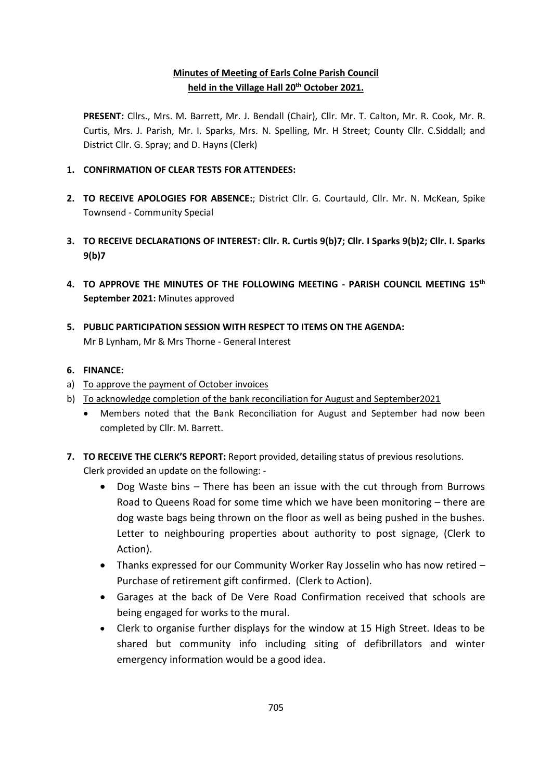## **Minutes of Meeting of Earls Colne Parish Council held in the Village Hall 20th October 2021.**

**PRESENT:** Cllrs., Mrs. M. Barrett, Mr. J. Bendall (Chair), Cllr. Mr. T. Calton, Mr. R. Cook, Mr. R. Curtis, Mrs. J. Parish, Mr. I. Sparks, Mrs. N. Spelling, Mr. H Street; County Cllr. C.Siddall; and District Cllr. G. Spray; and D. Hayns (Clerk)

- **1. CONFIRMATION OF CLEAR TESTS FOR ATTENDEES:**
- **2. TO RECEIVE APOLOGIES FOR ABSENCE:**; District Cllr. G. Courtauld, Cllr. Mr. N. McKean, Spike Townsend - Community Special
- **3. TO RECEIVE DECLARATIONS OF INTEREST: Cllr. R. Curtis 9(b)7; Cllr. I Sparks 9(b)2; Cllr. I. Sparks 9(b)7**
- **4. TO APPROVE THE MINUTES OF THE FOLLOWING MEETING - PARISH COUNCIL MEETING 15 th September 2021:** Minutes approved
- **5. PUBLIC PARTICIPATION SESSION WITH RESPECT TO ITEMS ON THE AGENDA:** Mr B Lynham, Mr & Mrs Thorne - General Interest

### **6. FINANCE:**

- a) To approve the payment of October invoices
- b) To acknowledge completion of the bank reconciliation for August and September2021
	- Members noted that the Bank Reconciliation for August and September had now been completed by Cllr. M. Barrett.
- **7. TO RECEIVE THE CLERK'S REPORT:** Report provided, detailing status of previous resolutions. Clerk provided an update on the following: -
	- Dog Waste bins There has been an issue with the cut through from Burrows Road to Queens Road for some time which we have been monitoring – there are dog waste bags being thrown on the floor as well as being pushed in the bushes. Letter to neighbouring properties about authority to post signage, (Clerk to Action).
	- Thanks expressed for our Community Worker Ray Josselin who has now retired Purchase of retirement gift confirmed. (Clerk to Action).
	- Garages at the back of De Vere Road Confirmation received that schools are being engaged for works to the mural.
	- Clerk to organise further displays for the window at 15 High Street. Ideas to be shared but community info including siting of defibrillators and winter emergency information would be a good idea.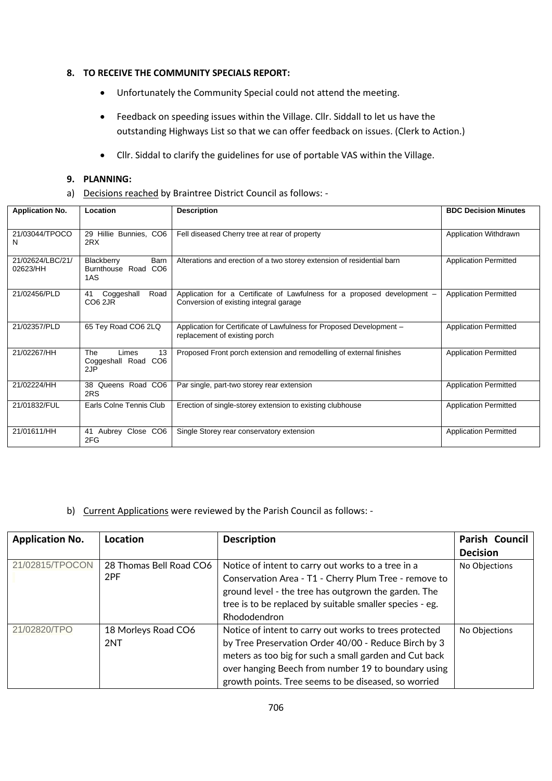#### **8. TO RECEIVE THE COMMUNITY SPECIALS REPORT:**

- Unfortunately the Community Special could not attend the meeting.
- Feedback on speeding issues within the Village. Cllr. Siddall to let us have the outstanding Highways List so that we can offer feedback on issues. (Clerk to Action.)
- Cllr. Siddal to clarify the guidelines for use of portable VAS within the Village.

## **9. PLANNING:**

a) Decisions reached by Braintree District Council as follows: -

| <b>Application No.</b>       | Location                                                | <b>Description</b>                                                                                                 | <b>BDC Decision Minutes</b>  |
|------------------------------|---------------------------------------------------------|--------------------------------------------------------------------------------------------------------------------|------------------------------|
| 21/03044/TPOCO<br>N          | 29 Hillie Bunnies, CO6<br>2RX                           | Fell diseased Cherry tree at rear of property                                                                      | Application Withdrawn        |
| 21/02624/LBC/21/<br>02623/HH | Blackberry<br><b>Barn</b><br>Burnthouse Road CO6<br>1AS | Alterations and erection of a two storey extension of residential barn                                             | <b>Application Permitted</b> |
| 21/02456/PLD                 | Road<br>Coggeshall<br>41<br>CO <sub>6</sub> 2JR         | Application for a Certificate of Lawfulness for a proposed development –<br>Conversion of existing integral garage | <b>Application Permitted</b> |
| 21/02357/PLD                 | 65 Tey Road CO6 2LQ                                     | Application for Certificate of Lawfulness for Proposed Development -<br>replacement of existing porch              | <b>Application Permitted</b> |
| 21/02267/HH                  | 13<br>The<br>Limes<br>Coggeshall Road CO6<br>2JP        | Proposed Front porch extension and remodelling of external finishes                                                | <b>Application Permitted</b> |
| 21/02224/HH                  | Queens Road CO6<br>38<br>2RS                            | Par single, part-two storey rear extension                                                                         | <b>Application Permitted</b> |
| 21/01832/FUL                 | Earls Colne Tennis Club                                 | Erection of single-storey extension to existing clubhouse                                                          | <b>Application Permitted</b> |
| 21/01611/HH                  | 41 Aubrey Close CO6<br>2FG                              | Single Storey rear conservatory extension                                                                          | <b>Application Permitted</b> |

#### b) Current Applications were reviewed by the Parish Council as follows: -

| <b>Application No.</b> | Location                       | <b>Description</b>                                                                                                                                                                                                                                                                      | Parish Council  |
|------------------------|--------------------------------|-----------------------------------------------------------------------------------------------------------------------------------------------------------------------------------------------------------------------------------------------------------------------------------------|-----------------|
|                        |                                |                                                                                                                                                                                                                                                                                         | <b>Decision</b> |
| 21/02815/TPOCON        | 28 Thomas Bell Road CO6<br>2PF | Notice of intent to carry out works to a tree in a<br>Conservation Area - T1 - Cherry Plum Tree - remove to<br>ground level - the tree has outgrown the garden. The<br>tree is to be replaced by suitable smaller species - eg.<br>Rhododendron                                         | No Objections   |
| 21/02820/TPO           | 18 Morleys Road CO6<br>2NT     | Notice of intent to carry out works to trees protected<br>by Tree Preservation Order 40/00 - Reduce Birch by 3<br>meters as too big for such a small garden and Cut back<br>over hanging Beech from number 19 to boundary using<br>growth points. Tree seems to be diseased, so worried | No Objections   |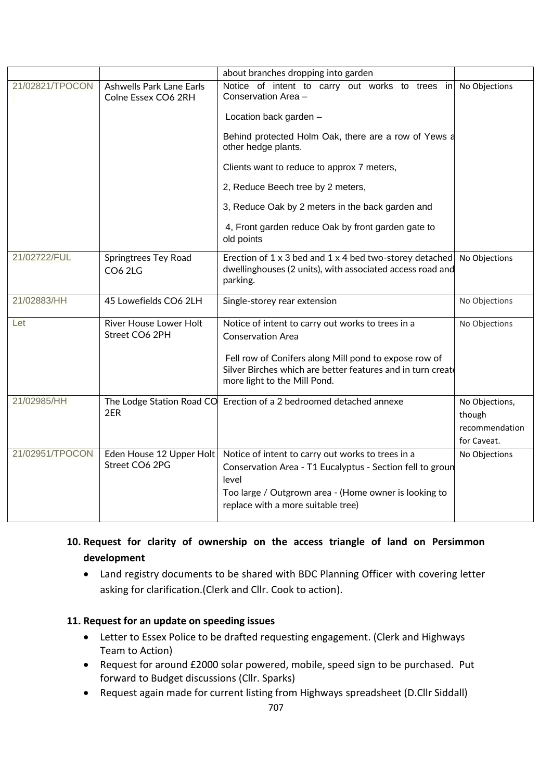|                 |                                                        | about branches dropping into garden                                                                                                                                                                                                                                                                                                                                                        |                                                           |
|-----------------|--------------------------------------------------------|--------------------------------------------------------------------------------------------------------------------------------------------------------------------------------------------------------------------------------------------------------------------------------------------------------------------------------------------------------------------------------------------|-----------------------------------------------------------|
| 21/02821/TPOCON | <b>Ashwells Park Lane Earls</b><br>Colne Essex CO6 2RH | Notice of intent to carry out works to trees in<br>Conservation Area -<br>Location back garden -<br>Behind protected Holm Oak, there are a row of Yews a<br>other hedge plants.<br>Clients want to reduce to approx 7 meters,<br>2, Reduce Beech tree by 2 meters,<br>3, Reduce Oak by 2 meters in the back garden and<br>4, Front garden reduce Oak by front garden gate to<br>old points | No Objections                                             |
| 21/02722/FUL    | <b>Springtrees Tey Road</b><br><b>CO6 2LG</b>          | Erection of 1 x 3 bed and 1 x 4 bed two-storey detached<br>dwellinghouses (2 units), with associated access road and<br>parking.                                                                                                                                                                                                                                                           | No Objections                                             |
| 21/02883/HH     | 45 Lowefields CO6 2LH                                  | Single-storey rear extension                                                                                                                                                                                                                                                                                                                                                               | No Objections                                             |
| Let             | River House Lower Holt<br>Street CO6 2PH               | Notice of intent to carry out works to trees in a<br><b>Conservation Area</b><br>Fell row of Conifers along Mill pond to expose row of<br>Silver Birches which are better features and in turn create<br>more light to the Mill Pond.                                                                                                                                                      | No Objections                                             |
| 21/02985/HH     | 2ER                                                    | The Lodge Station Road CO Erection of a 2 bedroomed detached annexe                                                                                                                                                                                                                                                                                                                        | No Objections,<br>though<br>recommendation<br>for Caveat. |
| 21/02951/TPOCON | Eden House 12 Upper Holt<br>Street CO6 2PG             | Notice of intent to carry out works to trees in a<br>Conservation Area - T1 Eucalyptus - Section fell to groun<br>level<br>Too large / Outgrown area - (Home owner is looking to<br>replace with a more suitable tree)                                                                                                                                                                     | No Objections                                             |

# **10. Request for clarity of ownership on the access triangle of land on Persimmon development**

• Land registry documents to be shared with BDC Planning Officer with covering letter asking for clarification.(Clerk and Cllr. Cook to action).

## **11. Request for an update on speeding issues**

- Letter to Essex Police to be drafted requesting engagement. (Clerk and Highways Team to Action)
- Request for around £2000 solar powered, mobile, speed sign to be purchased. Put forward to Budget discussions (Cllr. Sparks)
- Request again made for current listing from Highways spreadsheet (D.Cllr Siddall)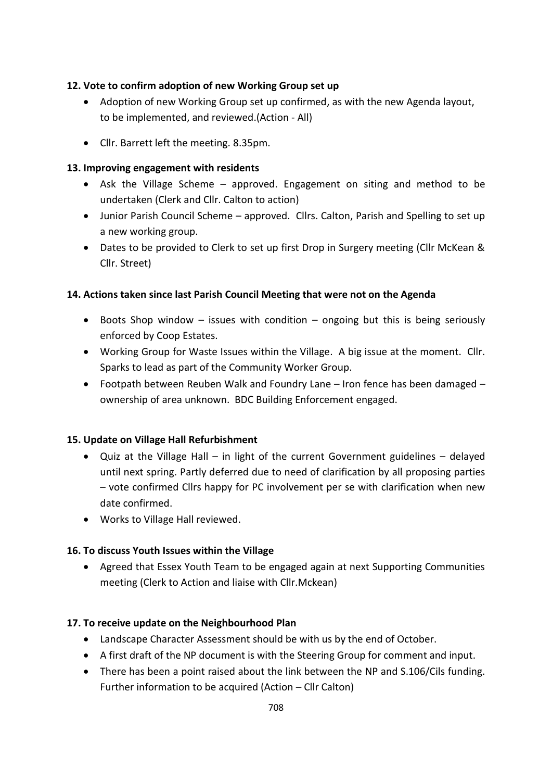### **12. Vote to confirm adoption of new Working Group set up**

- Adoption of new Working Group set up confirmed, as with the new Agenda layout, to be implemented, and reviewed.(Action - All)
- Cllr. Barrett left the meeting. 8.35pm.

### **13. Improving engagement with residents**

- Ask the Village Scheme approved. Engagement on siting and method to be undertaken (Clerk and Cllr. Calton to action)
- Junior Parish Council Scheme approved. Cllrs. Calton, Parish and Spelling to set up a new working group.
- Dates to be provided to Clerk to set up first Drop in Surgery meeting (Cllr McKean & Cllr. Street)

### **14. Actions taken since last Parish Council Meeting that were not on the Agenda**

- Boots Shop window issues with condition ongoing but this is being seriously enforced by Coop Estates.
- Working Group for Waste Issues within the Village. A big issue at the moment. Cllr. Sparks to lead as part of the Community Worker Group.
- Footpath between Reuben Walk and Foundry Lane Iron fence has been damaged ownership of area unknown. BDC Building Enforcement engaged.

### **15. Update on Village Hall Refurbishment**

- Quiz at the Village Hall in light of the current Government guidelines delayed until next spring. Partly deferred due to need of clarification by all proposing parties – vote confirmed Cllrs happy for PC involvement per se with clarification when new date confirmed.
- Works to Village Hall reviewed.

## **16. To discuss Youth Issues within the Village**

• Agreed that Essex Youth Team to be engaged again at next Supporting Communities meeting (Clerk to Action and liaise with Cllr.Mckean)

### **17. To receive update on the Neighbourhood Plan**

- Landscape Character Assessment should be with us by the end of October.
- A first draft of the NP document is with the Steering Group for comment and input.
- There has been a point raised about the link between the NP and S.106/Cils funding. Further information to be acquired (Action – Cllr Calton)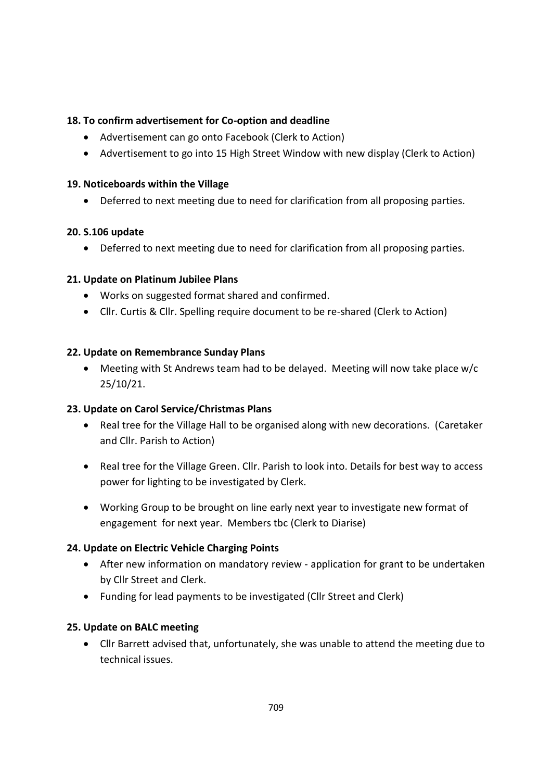### **18. To confirm advertisement for Co-option and deadline**

- Advertisement can go onto Facebook (Clerk to Action)
- Advertisement to go into 15 High Street Window with new display (Clerk to Action)

#### **19. Noticeboards within the Village**

• Deferred to next meeting due to need for clarification from all proposing parties.

### **20. S.106 update**

• Deferred to next meeting due to need for clarification from all proposing parties.

### **21. Update on Platinum Jubilee Plans**

- Works on suggested format shared and confirmed.
- Cllr. Curtis & Cllr. Spelling require document to be re-shared (Clerk to Action)

### **22. Update on Remembrance Sunday Plans**

• Meeting with St Andrews team had to be delayed. Meeting will now take place w/c 25/10/21.

### **23. Update on Carol Service/Christmas Plans**

- Real tree for the Village Hall to be organised along with new decorations. (Caretaker and Cllr. Parish to Action)
- Real tree for the Village Green. Cllr. Parish to look into. Details for best way to access power for lighting to be investigated by Clerk.
- Working Group to be brought on line early next year to investigate new format of engagement for next year. Members tbc (Clerk to Diarise)

### **24. Update on Electric Vehicle Charging Points**

- After new information on mandatory review application for grant to be undertaken by Cllr Street and Clerk.
- Funding for lead payments to be investigated (Cllr Street and Clerk)

### **25. Update on BALC meeting**

• Cllr Barrett advised that, unfortunately, she was unable to attend the meeting due to technical issues.